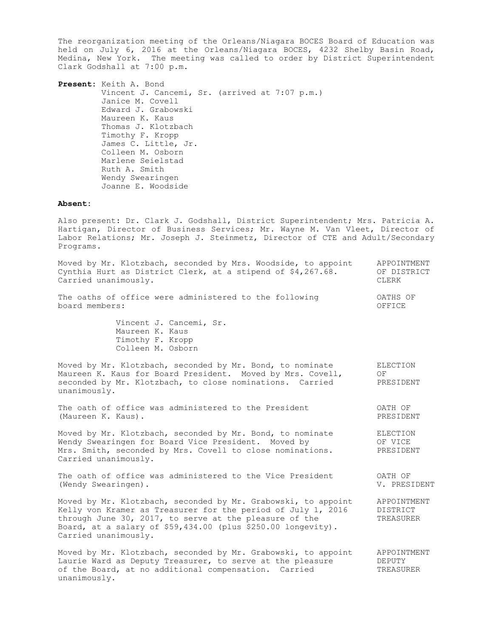The reorganization meeting of the Orleans/Niagara BOCES Board of Education was held on July 6, 2016 at the Orleans/Niagara BOCES, 4232 Shelby Basin Road, Medina, New York. The meeting was called to order by District Superintendent Clark Godshall at 7:00 p.m.

**Present:** Keith A. Bond Vincent J. Cancemi, Sr. (arrived at 7:07 p.m.) Janice M. Covell Edward J. Grabowski Maureen K. Kaus Thomas J. Klotzbach Timothy F. Kropp James C. Little, Jr. Colleen M. Osborn Marlene Seielstad Ruth A. Smith Wendy Swearingen Joanne E. Woodside

## **Absent:**

Also present: Dr. Clark J. Godshall, District Superintendent; Mrs. Patricia A. Hartigan, Director of Business Services; Mr. Wayne M. Van Vleet, Director of Labor Relations; Mr. Joseph J. Steinmetz, Director of CTE and Adult/Secondary Programs.

| Moved by Mr. Klotzbach, seconded by Mrs. Woodside, to appoint<br>Cynthia Hurt as District Clerk, at a stipend of \$4,267.68.<br>Carried unanimously.                                                                                                                            | APPOINTMENT<br>OF DISTRICT<br>CLERK         |
|---------------------------------------------------------------------------------------------------------------------------------------------------------------------------------------------------------------------------------------------------------------------------------|---------------------------------------------|
| The oaths of office were administered to the following<br>board members:                                                                                                                                                                                                        | OATHS OF<br>OFFICE                          |
| Vincent J. Cancemi, Sr.<br>Maureen K. Kaus<br>Timothy F. Kropp<br>Colleen M. Osborn                                                                                                                                                                                             |                                             |
| Moved by Mr. Klotzbach, seconded by Mr. Bond, to nominate<br>Maureen K. Kaus for Board President. Moved by Mrs. Covell,<br>seconded by Mr. Klotzbach, to close nominations. Carried<br>unanimously.                                                                             | ELECTION<br>OF.<br>PRESIDENT                |
| The oath of office was administered to the President<br>(Maureen K. Kaus).                                                                                                                                                                                                      | OATH OF<br>PRESIDENT                        |
| Moved by Mr. Klotzbach, seconded by Mr. Bond, to nominate<br>Wendy Swearingen for Board Vice President. Moved by<br>Mrs. Smith, seconded by Mrs. Covell to close nominations.<br>Carried unanimously.                                                                           | ELECTION<br>OF VICE<br>PRESIDENT            |
| The oath of office was administered to the Vice President<br>(Wendy Swearingen).                                                                                                                                                                                                | OATH OF<br>V. PRESIDENT                     |
| Moved by Mr. Klotzbach, seconded by Mr. Grabowski, to appoint<br>Kelly von Kramer as Treasurer for the period of July 1, 2016<br>through June 30, 2017, to serve at the pleasure of the<br>Board, at a salary of \$59,434.00 (plus \$250.00 longevity).<br>Carried unanimously. | APPOINTMENT<br><b>DISTRICT</b><br>TREASURER |
| Moved by Mr. Klotzbach, seconded by Mr. Grabowski, to appoint<br>Laurie Ward as Deputy Treasurer, to serve at the pleasure<br>of the Board, at no additional compensation. Carried<br>unanimously.                                                                              | APPOINTMENT<br>DEPUTY<br>TREASURER          |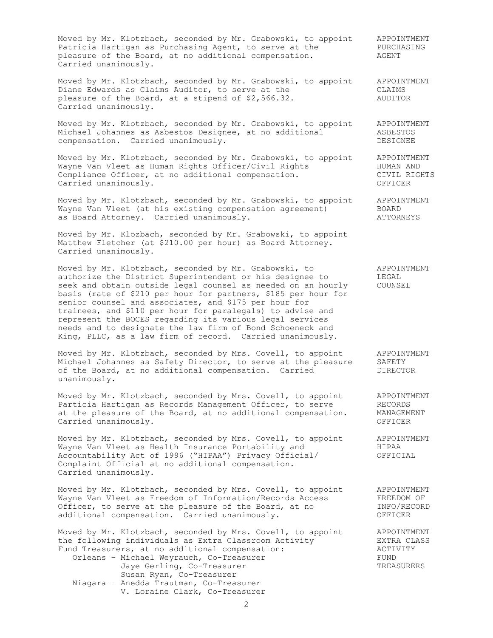Moved by Mr. Klotzbach, seconded by Mr. Grabowski, to appoint APPOINTMENT Patricia Hartigan as Purchasing Agent, to serve at the PURCHASING Moved by MI. Alotzbach, secondod by MI. Showshill, and the PURCH.<br>Patricia Hartigan as Purchasing Agent, to serve at the PURCH.<br>pleasure of the Board, at no additional compensation. AGENT Carried unanimously.

Moved by Mr. Klotzbach, seconded by Mr. Grabowski, to appoint APPOINTMENT Diane Edwards as Claims Auditor, to serve at the The CLAIMS pleasure of the Board, at a stipend of \$2,566.32. AUDITOR Carried unanimously.

Moved by Mr. Klotzbach, seconded by Mr. Grabowski, to appoint APPOINTMENT<br>Michael Johannes as Asbestos Designee, at no additional ASBESTOS Moved by M. Albestad (1999) Secondon 2, 1999 1999. compensation. Carried unanimously. The compensation of the compensation of  $DESTGNEE$ 

Moved by Mr. Klotzbach, seconded by Mr. Grabowski, to appoint APPOINTMENT Wayne Van Vleet as Human Rights Officer/Civil Rights The MUMAN AND Compliance Officer, at no additional compensation. The CIVIL RIGHTS Carried unanimously. OFFICER

Moved by Mr. Klotzbach, seconded by Mr. Grabowski, to appoint APPOINTMENT Wayne Van Vleet (at his existing compensation agreement) BOARD as Board Attorney. Carried unanimously. The mass of the ATTORNEYS

Moved by Mr. Klozbach, seconded by Mr. Grabowski, to appoint Matthew Fletcher (at \$210.00 per hour) as Board Attorney. Carried unanimously.

Moved by Mr. Klotzbach, seconded by Mr. Grabowski, to APPOINTMENT authorize the District Superintendent or his designee to LEGAL seek and obtain outside legal counsel as needed on an hourly COUNSEL basis (rate of \$210 per hour for partners, \$185 per hour for senior counsel and associates, and \$175 per hour for trainees, and \$110 per hour for paralegals) to advise and represent the BOCES regarding its various legal services needs and to designate the law firm of Bond Schoeneck and King, PLLC, as a law firm of record. Carried unanimously.

Moved by Mr. Klotzbach, seconded by Mrs. Covell, to appoint APPOINTMENT Michael Johannes as Safety Director, to serve at the pleasure SAFETY of the Board, at no additional compensation. Carried **DIRECTOR** unanimously.

Moved by Mr. Klotzbach, seconded by Mrs. Covell, to appoint APPOINTMENT Particia Hartigan as Records Management Officer, to serve RECORDS at the pleasure of the Board, at no additional compensation. MANAGEMENT Carried unanimously. OFFICER

Moved by Mr. Klotzbach, seconded by Mrs. Covell, to appoint APPOINTMENT Wayne Van Vleet as Health Insurance Portability and HIPAA Accountability Act of 1996 ("HIPAA") Privacy Official/ OFFICIAL Complaint Official at no additional compensation. Carried unanimously.

Moved by Mr. Klotzbach, seconded by Mrs. Covell, to appoint APPOINTMENT Wayne Van Vleet as Freedom of Information/Records Access FREEDOM OF Officer, to serve at the pleasure of the Board, at no INFO/RECORD additional compensation. Carried unanimously. The CONSICER

Moved by Mr. Klotzbach, seconded by Mrs. Covell, to appoint APPOINTMENT the following individuals as Extra Classroom Activity EXTRA CLASS Fund Treasurers, at no additional compensation:  $\overline{A}$  ACTIVITY Orleans - Michael Weyrauch, Co-Treasurer FUND Orleans - Michael Weyrauch, Co-Treasurer<br>Jaye Gerling, Co-Treasurer TREASURERS Susan Ryan, Co-Treasurer

Niagara – Anedda Trautman, Co-Treasurer V. Loraine Clark, Co-Treasurer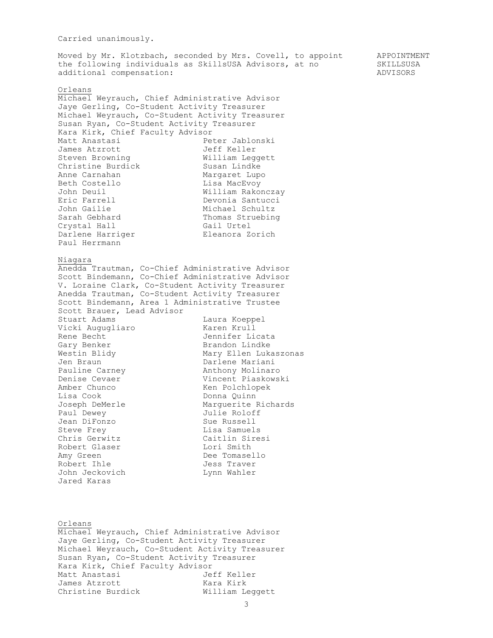## Carried unanimously.

Moved by Mr. Klotzbach, seconded by Mrs. Covell, to appoint APPOINTMENT the following individuals as SkillsUSA Advisors, at no SKILLSUSA additional compensation:  $ADVISORS$ 

## Orleans Michael Weyrauch, Chief Administrative Advisor Jaye Gerling, Co-Student Activity Treasurer Michael Weyrauch, Co-Student Activity Treasurer Susan Ryan, Co-Student Activity Treasurer Kara Kirk, Chief Faculty Advisor Matt Anastasi Peter Jablonski James Atzrott and Jeff Keller Steven Browning **Milliam** Leggett Christine Burdick Man Susan Lindke Anne Carnahan Margaret Lupo Beth Costello **Lisa MacEvoy** John Deuil William Rakonczay Eric Farrell Devonia Santucci John Gailie **Michael Schultz** Sarah Gebhard Thomas Struebing Crystal Hall Gail Urtel Darlene Harriger Eleanora Zorich Paul Herrmann Niagara Anedda Trautman, Co-Chief Administrative Advisor Scott Bindemann, Co-Chief Administrative Advisor V. Loraine Clark, Co-Student Activity Treasurer Anedda Trautman, Co-Student Activity Treasurer Scott Bindemann, Area 1 Administrative Trustee Scott Brauer, Lead Advisor Stuart Adams and Laura Koeppel Vicki Augugliaro Karen Krull Rene Becht **Graumen Commental** Jennifer Licata Gary Benker **Brandon** Lindke Westin Blidy **Mary Ellen Lukaszonas** Jen Braun **Darlene Mariani** Pauline Carney **Anthony Molinaro** Denise Cevaer **Vincent Piaskowski** Amber Chunco Ken Polchlopek Lisa Cook **Donna** Quinn Joseph DeMerle Marguerite Richards Paul Dewey **Fraul Dewey** Julie Roloff Jean DiFonzo **Sue Russell** Steve Frey **Exercise Steve Frey** Chris Gerwitz Caitlin Siresi Robert Glaser Lori Smith Amy Green **Dee Tomasello** Robert Ihle **Galact Exercise Contract Contract** Jess Traver John Jeckovich Lynn Wahler Jared Karas

Orleans Michael Weyrauch, Chief Administrative Advisor Jaye Gerling, Co-Student Activity Treasurer Michael Weyrauch, Co-Student Activity Treasurer Susan Ryan, Co-Student Activity Treasurer Kara Kirk, Chief Faculty Advisor Matt Anastasi Jeff Keller James Atzrott Kara Kirk Christine Burdick William Leggett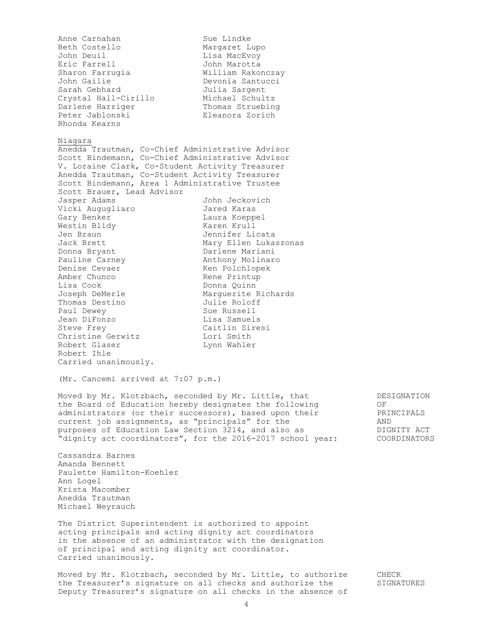Anne Carnahan Sue Lindke Beth Costello **Margaret** Lupo John Deuil **Lisa MacEvoy** Eric Farrell John Marotta Sharon Farrugia **William Rakonczay** John Gailie Devonia Santucci Sarah Gebhard **Julia Sargent** Crystal Hall-Cirillo Michael Schultz Darlene Harriger Thomas Struebing Peter Jablonski Eleanora Zorich Rhonda Kearns Niagara Anedda Trautman, Co-Chief Administrative Advisor Scott Bindemann, Co-Chief Administrative Advisor V. Loraine Clark, Co-Student Activity Treasurer Anedda Trautman, Co-Student Activity Treasurer Scott Bindemann, Area 1 Administrative Trustee Scott Brauer, Lead Advisor Jasper Adams John Jeckovich Vicki Augugliaro Jared Karas Gary Benker Laura Koeppel Westin Blidy **Karen Krull** Jen Braun Jennifer Licata Jack Brett Mary Ellen Lukaszonas Donna Bryant **Darlene Mariani** Pauline Carney **Anthony Molinaro** Denise Cevaer Manness Ken Polchlopek Amber Chunco **Rene Printup** Lisa Cook **Donna** Quinn Joseph DeMerle Marguerite Richards Thomas Destino Julie Roloff Paul Dewey Sue Russell Jean DiFonzo **Lisa Samuels** Steve Frey **Caitlin Sings** Christine Gerwitz **Lori Smith** Robert Glaser Lynn Wahler Robert Ihle Carried unanimously. (Mr. Cancemi arrived at 7:07 p.m.) Moved by Mr. Klotzbach, seconded by Mr. Little, that The DESIGNATION the Board of Education hereby designates the following 60 OF administrators (or their successors), based upon their PRINCIPALS current job assignments, as "principals" for the AND purposes of Education Law Section 3214, and also as  $\overline{D}$  DIGNITY ACT "dignity act coordinators", for the 2016-2017 school year: COORDINATORS Cassandra Barnes Amanda Bennett Paulette Hamilton-Koehler Ann Logel Krista Macomber Anedda Trautman Michael Weyrauch The District Superintendent is authorized to appoint acting principals and acting dignity act coordinators in the absence of an administrator with the designation of principal and acting dignity act coordinator. Carried unanimously. Moved by Mr. Klotzbach, seconded by Mr. Little, to authorize CHECK the Treasurer's signature on all checks and authorize the SIGNATURES

4 Deputy Treasurer's signature on all checks in the absence of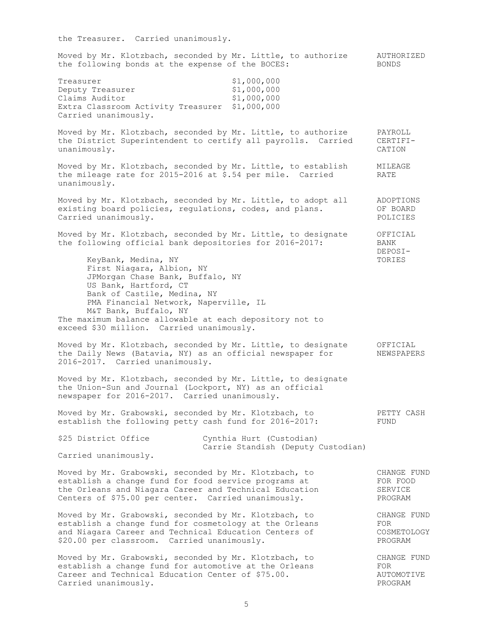| the Treasurer. Carried unanimously.                                                                                                                                                                                                                                                                                    |                                               |
|------------------------------------------------------------------------------------------------------------------------------------------------------------------------------------------------------------------------------------------------------------------------------------------------------------------------|-----------------------------------------------|
| Moved by Mr. Klotzbach, seconded by Mr. Little, to authorize<br>the following bonds at the expense of the BOCES:                                                                                                                                                                                                       | AUTHORIZED<br><b>BONDS</b>                    |
| \$1,000,000<br>Treasurer<br>\$1,000,000<br>Deputy Treasurer<br>Claims Auditor<br>\$1,000,000<br>\$1,000,000<br>Extra Classroom Activity Treasurer<br>Carried unanimously.                                                                                                                                              |                                               |
| Moved by Mr. Klotzbach, seconded by Mr. Little, to authorize<br>the District Superintendent to certify all payrolls. Carried<br>unanimously.                                                                                                                                                                           | PAYROLL<br>CERTIFI-<br>CATION                 |
| Moved by Mr. Klotzbach, seconded by Mr. Little, to establish<br>the mileage rate for 2015-2016 at \$.54 per mile. Carried<br>unanimously.                                                                                                                                                                              | MILEAGE<br>RATE                               |
| Moved by Mr. Klotzbach, seconded by Mr. Little, to adopt all<br>existing board policies, regulations, codes, and plans.<br>Carried unanimously.                                                                                                                                                                        | ADOPTIONS<br>OF BOARD<br>POLICIES             |
| Moved by Mr. Klotzbach, seconded by Mr. Little, to designate<br>the following official bank depositories for 2016-2017:                                                                                                                                                                                                | OFFICIAL<br>BANK<br>DEPOSI-                   |
| KeyBank, Medina, NY<br>First Niagara, Albion, NY<br>JPMorgan Chase Bank, Buffalo, NY<br>US Bank, Hartford, CT<br>Bank of Castile, Medina, NY<br>PMA Financial Network, Naperville, IL<br>M&T Bank, Buffalo, NY<br>The maximum balance allowable at each depository not to<br>exceed \$30 million. Carried unanimously. | TORIES                                        |
| Moved by Mr. Klotzbach, seconded by Mr. Little, to designate<br>the Daily News (Batavia, NY) as an official newspaper for<br>2016-2017. Carried unanimously.                                                                                                                                                           | OFFICIAL<br>NEWSPAPERS                        |
| Moved by Mr. Klotzbach, seconded by Mr. Little, to designate<br>the Union-Sun and Journal (Lockport, NY) as an official<br>newspaper for 2016-2017. Carried unanimously.                                                                                                                                               |                                               |
| Moved by Mr. Grabowski, seconded by Mr. Klotzbach, to<br>establish the following petty cash fund for 2016-2017:                                                                                                                                                                                                        | PETTY CASH<br>FUND                            |
| \$25 District Office<br>Cynthia Hurt (Custodian)<br>Carrie Standish (Deputy Custodian)                                                                                                                                                                                                                                 |                                               |
| Carried unanimously.                                                                                                                                                                                                                                                                                                   |                                               |
| Moved by Mr. Grabowski, seconded by Mr. Klotzbach, to<br>establish a change fund for food service programs at<br>the Orleans and Niagara Career and Technical Education<br>Centers of \$75.00 per center. Carried unanimously.                                                                                         | CHANGE FUND<br>FOR FOOD<br>SERVICE<br>PROGRAM |
| Moved by Mr. Grabowski, seconded by Mr. Klotzbach, to<br>establish a change fund for cosmetology at the Orleans<br>and Niagara Career and Technical Education Centers of<br>\$20.00 per classroom. Carried unanimously.                                                                                                | CHANGE FUND<br>FOR<br>COSMETOLOGY<br>PROGRAM  |
| Moved by Mr. Grabowski, seconded by Mr. Klotzbach, to<br>establish a change fund for automotive at the Orleans<br>Career and Technical Education Center of \$75.00.<br>Carried unanimously.                                                                                                                            | CHANGE FUND<br>FOR<br>AUTOMOTIVE<br>PROGRAM   |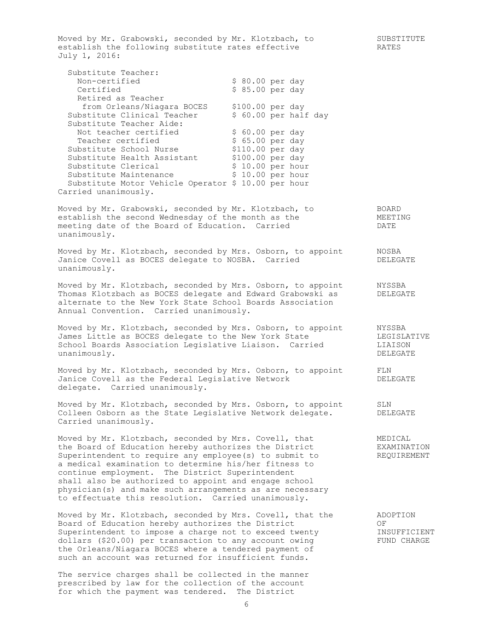Moved by Mr. Grabowski, seconded by Mr. Klotzbach, to SUBSTITUTE establish the following substitute rates effective TRATES July 1, 2016: Substitute Teacher: Non-certified <br>
Non-certified \$ 80.00 per day<br>
Certified \$ 85.00 per day Certified  $$ 85.00 per day$  Retired as Teacher from Orleans/Niagara BOCES \$100.00 per day Substitute Clinical Teacher \$ 60.00 per half day Substitute Teacher Aide: Not teacher certified  $$60.00$  per day Teacher certified  $$65.00~per$  day Substitute School Nurse  $$110.00$  per day Substitute Health Assistant \$100.00 per day Substitute Clerical  $$ 10.00 \text{ per hour}$ Substitute Maintenance  $\frac{1}{2}$  \$ 10.00 per hour Substitute Motor Vehicle Operator \$ 10.00 per hour Carried unanimously. Moved by Mr. Grabowski, seconded by Mr. Klotzbach, to BOARD establish the second Wednesday of the month as the  $MEETING$ meeting date of the Board of Education. Carried DATE unanimously. Moved by Mr. Klotzbach, seconded by Mrs. Osborn, to appoint MOSBA Hoved by interestance, accounts by the carried of DELEGATE Janice Covell as BOCES delegate to NOSBA. Carried unanimously. Moved by Mr. Klotzbach, seconded by Mrs. Osborn, to appoint MYSSBA Thomas Klotzbach as BOCES delegate and Edward Grabowski as DELEGATE alternate to the New York State School Boards Association Annual Convention. Carried unanimously. Moved by Mr. Klotzbach, seconded by Mrs. Osborn, to appoint MYSSBA James Little as BOCES delegate to the New York State The LEGISLATIVE School Boards Association Legislative Liaison. Carried LIAISON unanimously. DELEGATE Moved by Mr. Klotzbach, seconded by Mrs. Osborn, to appoint FLN Janice Covell as the Federal Legislative Network DELEGATE Janice Covell as the Federal Legislative Network<br>delegate. Carried unanimously. Moved by Mr. Klotzbach, seconded by Mrs. Osborn, to appoint SLN Colleen Osborn as the State Legislative Network delegate. DELEGATE Carried unanimously. Moved by Mr. Klotzbach, seconded by Mrs. Covell, that **MEDICAL** the Board of Education hereby authorizes the District EXAMINATION Superintendent to require any employee(s) to submit to THEQUIREMENT a medical examination to determine his/her fitness to continue employment. The District Superintendent shall also be authorized to appoint and engage school physician(s) and make such arrangements as are necessary to effectuate this resolution. Carried unanimously. Moved by Mr. Klotzbach, seconded by Mrs. Covell, that the ADOPTION Board of Education hereby authorizes the District OF Superintendent to impose a charge not to exceed twenty **INSUFFICIENT** dollars (\$20.00) per transaction to any account owing FUND CHARGE the Orleans/Niagara BOCES where a tendered payment of such an account was returned for insufficient funds. The service charges shall be collected in the manner prescribed by law for the collection of the account

6

for which the payment was tendered. The District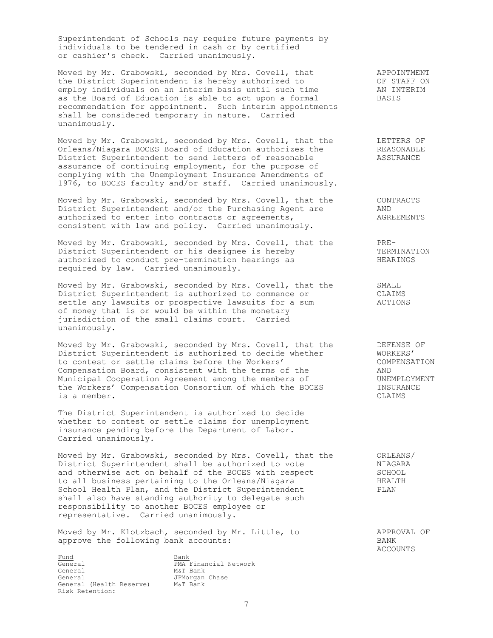Superintendent of Schools may require future payments by individuals to be tendered in cash or by certified or cashier's check. Carried unanimously.

Moved by Mr. Grabowski, seconded by Mrs. Covell, that APPOINTMENT the District Superintendent is hereby authorized to OF STAFF ON employ individuals on an interim basis until such time AN INTERIM as the Board of Education is able to act upon a formal BASIS recommendation for appointment. Such interim appointments shall be considered temporary in nature. Carried unanimously.

Moved by Mr. Grabowski, seconded by Mrs. Covell, that the TETTERS OF Orleans/Niagara BOCES Board of Education authorizes the REASONABLE Noved by Mi. Siabowshi, Secondon by Mis. Second, Miss Superintendent of Education authorizes the REASONABLI<br>District Superintendent to send letters of reasonable ASSURANCE assurance of continuing employment, for the purpose of complying with the Unemployment Insurance Amendments of 1976, to BOCES faculty and/or staff. Carried unanimously.

Moved by Mr. Grabowski, seconded by Mrs. Covell, that the CONTRACTS<br>District Superintendent and/or the Purchasing Agent are AND District Superintendent and/or the Purchasing Agent are AND<br>authorized to enter into contracts or agreements, AGREEMENTS authorized to enter into contracts or agreements, consistent with law and policy. Carried unanimously.

Moved by Mr. Grabowski, seconded by Mrs. Covell, that the PRE-District Superintendent or his designee is hereby TERMINATION authorized to conduct pre-termination hearings as THEARINGS District Superintendent or his designee is hereby<br>authorized to conduct pre-termination hearings as<br>required by law. Carried unanimously.

Moved by Mr. Grabowski, seconded by Mrs. Covell, that the SMALL District Superintendent is authorized to commence or CLAIMS settle any lawsuits or prospective lawsuits for a sum ACTIONS of money that is or would be within the monetary jurisdiction of the small claims court. Carried unanimously.

Moved by Mr. Grabowski, seconded by Mrs. Covell, that the TEERSE OF District Superintendent is authorized to decide whether WORKERS' to contest or settle claims before the Workers' COMPENSATION Compensation Board, consistent with the terms of the AND Municipal Cooperation Agreement among the members of UNEMPLOYMENT the Workers' Compensation Consortium of which the BOCES **INSURANCE** is a member. CLAIMS

The District Superintendent is authorized to decide whether to contest or settle claims for unemployment insurance pending before the Department of Labor. Carried unanimously.

Moved by Mr. Grabowski, seconded by Mrs. Covell, that the oRLEANS/ District Superintendent shall be authorized to vote NIAGARA and otherwise act on behalf of the BOCES with respect SCHOOL to all business pertaining to the Orleans/Niagara The HEALTH School Health Plan, and the District Superintendent Theory PLAN shall also have standing authority to delegate such responsibility to another BOCES employee or representative. Carried unanimously.

Moved by Mr. Klotzbach, seconded by Mr. Little, to APPROVAL OF approve the following bank accounts: BANK

Fund Bank Bank<br>General BMA  $\overline{\text{Ceneral}}$   $\overline{\text{PMA}}$  Financial Network<br>
General  $\text{M&T Bank}$ General M&T Bank General **General** JPMorgan Chase General (Health Reserve) M&T Bank Risk Retention:

ACCOUNTS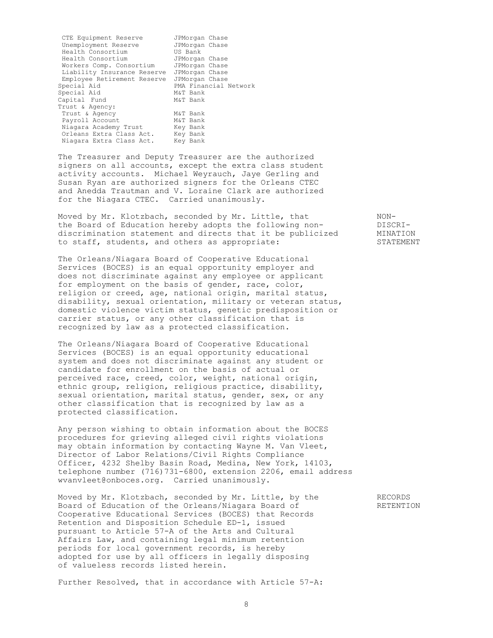CTE Equipment Reserve JPMorgan Chase<br>Unemployment Reserve JPMorgan Chase Unemployment Reserve JPMorgan Chase Health Consortium Health Consortium JPMorgan Chase Workers Comp. Consortium JPMorgan Chase Liability Insurance Reserve JPMorgan Chase Employee Retirement Reserve JPMorgan Chase Special Aid **PMA Financial Network**<br>Special Aid **MAT** Bank Special Aid Capital Fund M&T Bank Trust & Agency: Trust & Agency<br>
Payroll Account M&T Bank Payroll Account M&T Bank<br>Niagara Academy Trust Key Bank Niagara Academy Trust Key Bank<br>Orleans Extra Class Act. Key Bank Orleans Extra Class Act. Key Bank<br>Niagara Extra Class Act. Key Bank Niagara Extra Class Act.

The Treasurer and Deputy Treasurer are the authorized signers on all accounts, except the extra class student activity accounts. Michael Weyrauch, Jaye Gerling and Susan Ryan are authorized signers for the Orleans CTEC and Anedda Trautman and V. Loraine Clark are authorized for the Niagara CTEC. Carried unanimously.

Moved by Mr. Klotzbach, seconded by Mr. Little, that NONthe Board of Education hereby adopts the following non-<br>discrimination statement and directs that it be publicized MINATION discrimination statement and directs that it be publicized to staff, students, and others as appropriate: STATEMENT

The Orleans/Niagara Board of Cooperative Educational Services (BOCES) is an equal opportunity employer and does not discriminate against any employee or applicant for employment on the basis of gender, race, color, religion or creed, age, national origin, marital status, disability, sexual orientation, military or veteran status, domestic violence victim status, genetic predisposition or carrier status, or any other classification that is recognized by law as a protected classification.

The Orleans/Niagara Board of Cooperative Educational Services (BOCES) is an equal opportunity educational system and does not discriminate against any student or candidate for enrollment on the basis of actual or perceived race, creed, color, weight, national origin, ethnic group, religion, religious practice, disability, sexual orientation, marital status, gender, sex, or any other classification that is recognized by law as a protected classification.

Any person wishing to obtain information about the BOCES procedures for grieving alleged civil rights violations may obtain information by contacting Wayne M. Van Vleet, Director of Labor Relations/Civil Rights Compliance Officer, 4232 Shelby Basin Road, Medina, New York, 14103, telephone number (716)731-6800, extension 2206, email address [wvanvleet@onboces.org.](mailto:wvanvleet@onboces.org) Carried unanimously.

Moved by Mr. Klotzbach, seconded by Mr. Little, by the RECORDS Board of Education of the Orleans/Niagara Board of The RETENTION Cooperative Educational Services (BOCES) that Records Retention and Disposition Schedule ED-1, issued pursuant to Article 57-A of the Arts and Cultural Affairs Law, and containing legal minimum retention periods for local government records, is hereby adopted for use by all officers in legally disposing of valueless records listed herein.

Further Resolved, that in accordance with Article 57-A: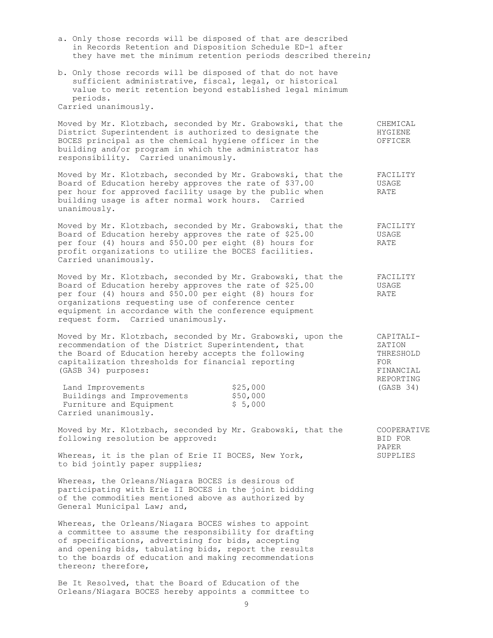- a. Only those records will be disposed of that are described in Records Retention and Disposition Schedule ED-1 after they have met the minimum retention periods described therein;
- b. Only those records will be disposed of that do not have sufficient administrative, fiscal, legal, or historical value to merit retention beyond established legal minimum periods.

Carried unanimously.

Moved by Mr. Klotzbach, seconded by Mr. Grabowski, that the CHEMICAL District Superintendent is authorized to designate the  $HYGIENT$ BOCES principal as the chemical hygiene officer in the OFFICER building and/or program in which the administrator has responsibility. Carried unanimously.

Moved by Mr. Klotzbach, seconded by Mr. Grabowski, that the FACILITY Board of Education hereby approves the rate of \$37.00 USAGE per hour for approved facility usage by the public when RATE building usage is after normal work hours. Carried unanimously.

Moved by Mr. Klotzbach, seconded by Mr. Grabowski, that the FACILITY Board of Education hereby approves the rate of \$25.00 USAGE per four (4) hours and \$50.00 per eight (8) hours for RATE profit organizations to utilize the BOCES facilities. Carried unanimously.

Moved by Mr. Klotzbach, seconded by Mr. Grabowski, that the FACILITY Moved by Mr. Klotzbach, seconded by Hr. Sidowssell,<br>Board of Education hereby approves the rate of \$25.00 USAGE per four (4) hours and \$50.00 per eight (8) hours for RATE organizations requesting use of conference center equipment in accordance with the conference equipment request form. Carried unanimously.

> REPORTING  $(GASB 34)$

PAPER

Moved by Mr. Klotzbach, seconded by Mr. Grabowski, upon the CAPITALIrecommendation of the District Superintendent, that  $ZATION$ the Board of Education hereby accepts the following THRESHOLD capitalization thresholds for financial reporting FOR (GASB 34) purposes: FINANCIAL

| Land Improvements          | \$25,000 |
|----------------------------|----------|
| Buildings and Improvements | \$50,000 |
| Furniture and Equipment    | \$5,000  |
| Carried unanimously.       |          |

Moved by Mr. Klotzbach, seconded by Mr. Grabowski, that the COOPERATIVE following resolution be approved: The BID FOR BID FOR

Whereas, it is the plan of Erie II BOCES, New York, SUPPLIES to bid jointly paper supplies;

Whereas, the Orleans/Niagara BOCES is desirous of participating with Erie II BOCES in the joint bidding of the commodities mentioned above as authorized by General Municipal Law; and,

Whereas, the Orleans/Niagara BOCES wishes to appoint a committee to assume the responsibility for drafting of specifications, advertising for bids, accepting and opening bids, tabulating bids, report the results to the boards of education and making recommendations thereon; therefore,

Be It Resolved, that the Board of Education of the Orleans/Niagara BOCES hereby appoints a committee to